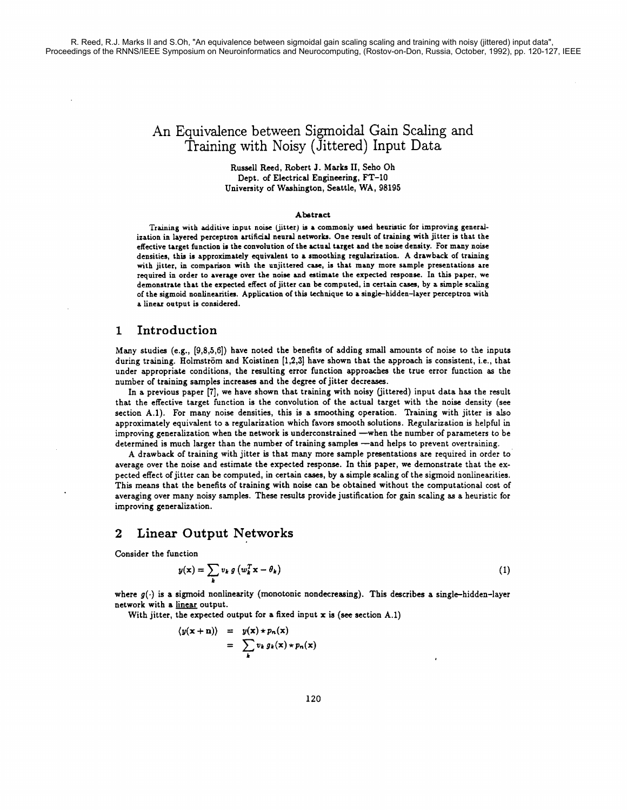# An Equivalence between Sigmoidal Gain Scaling and Training with Noisy (Jittered) Input Data

Russell Reed, Robert J. Marks 11, Seho Oh Dept. of Electrical Engineering, FT-10 University of Washington, Seattle, WA, 98195

#### Abstract

Training with additive input noise (jitter) **is** a commonly used heuristic for improving generalization in layered perceptron artificial neural networks. One result of training with jitter is that the effective target function is the convolution of the actual target and the noise density. For many noise densities, this is approximately equivalent to a smoothing regularization. A drawback of training with jitter, in comparison with the unjittered case, is that many more sample presentations are required in order to average over the noise and estimate the expected response. In this paper, we demonstrate that the expected effect of jitter can be computed, in certain cases, by a simple scaling of the sigmoid nonlinearities. Application of this technique to a single-hidden-layer perceptron with a linear output is considered.

#### **1** Introduction

Many studies (e.g., **[9,8,5,6])** have noted the benefits of adding small amounts of noise to the inputs during training. Holmström and Koistinen [1,2,3] have shown that the approach is consistent, i.e., that under appropriate conditions, the resulting error function approaches the true error function as the number of training samples increases and the degree of jitter decreases.

In a previous paper **[7],** we have shown that training with noisy (jittered) input data has the result that the effective target function is the convolution of the actual target with the noise density (see section **A.l).** For many noise densities, this is a smoothing operation. Training with jitter is also approximately equivalent to a regularization which favors smooth solutions. Regularization is helpful in improving generalization when the network is underconstrained -when the number of parameters to be determined is much larger than the number of training samples -and helps to prevent overtraining.

**A** drawback of training with jitter is that many more sample presentations are required in order to average over the noise and estimate the expected response. In this paper, we demonstrate that the expected effect of jitter can be computed, in certain cases, by a simple scaling of the sigmoid nonlinearities. This means that the benefits of training with noise can be obtained without the computational cost of averaging over many noisy samples. These results provide justification for gain scaling as a heuristic for improving generalization.

## **2** Linear Output Networks

Consider the function

$$
y(\mathbf{x}) = \sum_{k} v_k g\left(w_k^T \mathbf{x} - \theta_k\right)
$$
 (1)

where  $g(\cdot)$  is a sigmoid nonlinearity (monotonic nondecreasing). This describes a single-hidden-layer network with a linear output.

With jitter, the expected output for a fixed input **x** is **(see** section A.l)

$$
\langle y(x+n) \rangle = y(x) \star p_n(x)
$$
  
= 
$$
\sum_k v_k g_k(x) \star p_n(x)
$$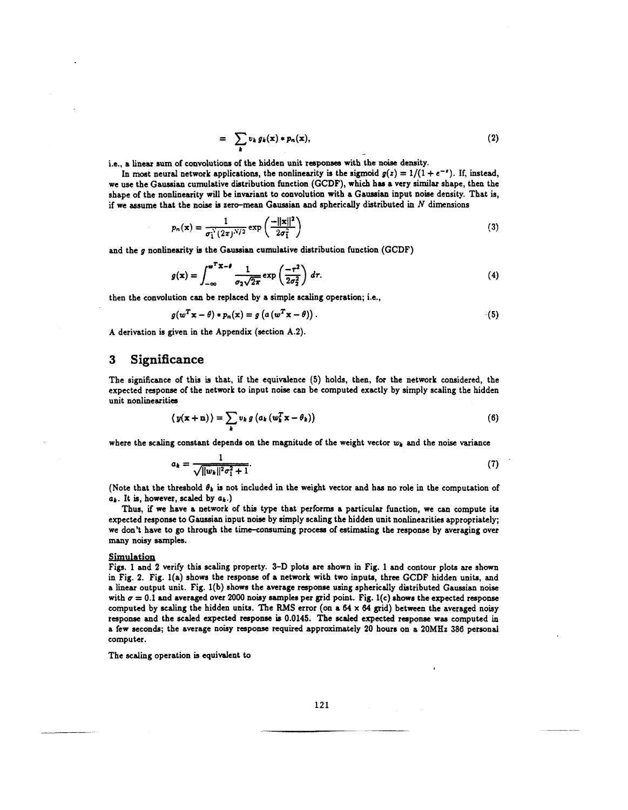$$
= \sum_{k} v_k g_k(x) * p_n(x), \qquad (2)
$$

i.e., a linear sum of convolutions of the hidden unit responses with the noise density.

In most neural network applications, the nonlinearity is the sigmoid  $g(z) = 1/(1 + e^{-z})$ . If, instead, we use the Gaussian cumulative distribution function (GCDF), which has a very similar shape, then the shape of the nonlinearity will be invariant to convolution with a Gaussian input noise density. That is, if we assume that the noise is zero-mean Gaussian and spherically distributed in  $N$  dimensions

$$
p_n(\mathbf{x}) = \frac{1}{\sigma_1^N (2\pi)^{N/2}} \exp\left(\frac{-\|\mathbf{x}\|^2}{2\sigma_1^2}\right) \tag{3}
$$

and the  $q$  nonlinearity is the Gaussian cumulative distribution function (GCDF)

at the noise is zero-mean Gaussian and spherically distributed in N dimensions  
\n
$$
p_n(x) = \frac{1}{\sigma_1^N (2\pi)^{N/2}} \exp\left(\frac{-||x||^2}{2\sigma_1^2}\right)
$$
\n(3)  
\n
$$
g(x) = \int_{-\infty}^{\omega^T x - \theta} \frac{1}{\sigma_2 \sqrt{2\pi}} \exp\left(\frac{-\tau^2}{2\sigma_2^2}\right) d\tau.
$$
\n(4)  
\n
$$
f(x) = \int_{-\infty}^{\omega^T x - \theta} \frac{1}{\sigma_2 \sqrt{2\pi}} \exp\left(\frac{-\tau^2}{2\sigma_2^2}\right) d\tau.
$$

then the convolution can be replaced by a simple scaling operation; i.e.,

$$
g(w^T \mathbf{x} - \theta) * p_n(\mathbf{x}) = g\left(a\left(w^T \mathbf{x} - \theta\right)\right). \tag{5}
$$

A derivation is given in the Appendix (section A.2).

#### **3 Significance**

The significance of this is that, if the equivalence **(5)** holds, then, for the network considered, the expected response of the network to input noise can be computed exactly by simply scaling the hidden unit nonlinearities

$$
\langle y(\mathbf{x} + \mathbf{n}) \rangle = \sum_{k} v_k g \left( a_k \left( w_k^T \mathbf{x} - \theta_k \right) \right) \tag{6}
$$

where the scaling constant depends on the magnitude of the weight vector  $w_k$  and the noise variance

$$
a_k = \frac{1}{\sqrt{\|w_k\|^2 \sigma_1^2 + 1}}.\tag{7}
$$

(Note that the threshold  $\theta_k$  is not included in the weight vector and has no role in the computation of  $a_k$ . It is, however, scaled by  $a_k$ .)

Thus, if we have a network of this type that performs a particular function, we can compute its expected response to Gaussian input noise by simply scaling the hidden unit nonlinearities appropriately; we don't have to go through the time-consurning process of estimating the response by averaging over many noisy samples.

#### Simulation

Figs. 1 and 2 verify this scaling property. **3-D** plots are shown in Fig. 1 and contour plob are shown in Fig. 2. Fig. l(a) shows the response of a network with two inputs, three GCDF hidden units, and a linear output unit. Fig. l(b) shows the average response using spherically distributed Gaussian noise with  $\sigma = 0.1$  and averaged over 2000 noisy samples per grid point. Fig. 1(c) shows the expected response computed by scaling the hidden units. The **RMS** error (on a 64 **x** 64 grid) between the averaged noisy response and the scaled expected response is 0.0145. The scaled expected response was computed in a few seconds; the average noisy response required approximately 20 hours on a 20MHz 386 personal computer.

The scaling operation is equivalent to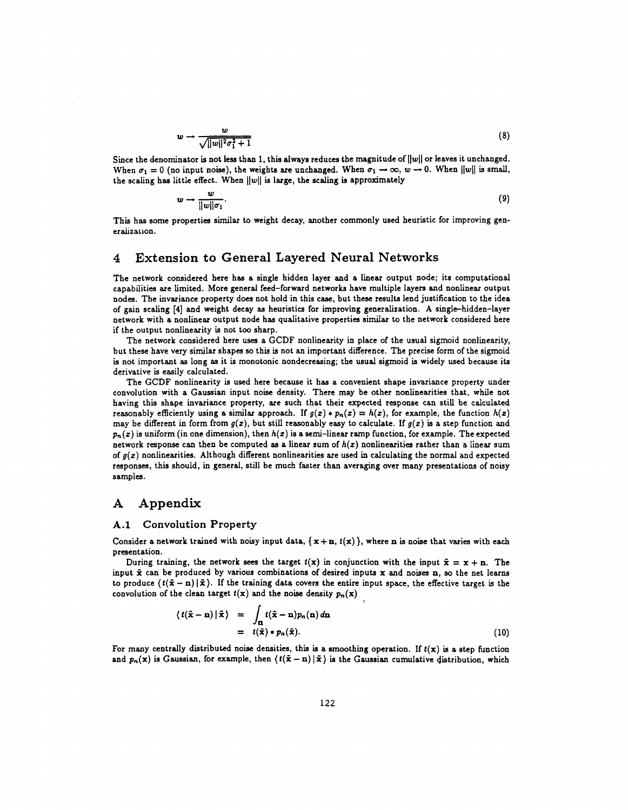$$
w \to \frac{w}{\sqrt{||w||^2 \sigma_1^2 + 1}} \tag{8}
$$

Since the denominator is not less than 1, this always reduces the magnitude of  $||w||$  or leaves it unchanged. When  $\sigma_1 = 0$  (no input noise), the weights are unchanged. When  $\sigma_1 \rightarrow \infty$ ,  $w \rightarrow 0$ . When  $||w||$  is small, the scaling has little effect. When  $||w||$  is large, the scaling is approximately

$$
w \to \frac{w}{\|w\|\sigma_1}.\tag{9}
$$

This has some properties similar to weight decay, another commonly used heuristic for improving generalization.

### **4 Extension to General Layered Neural Networks**

The network considered here has a single hidden layer and a linear output node; its computational capabilities are limited. More general feed-forward networks have multiple layers and nonlinear output nodes. The invariance property does not hold in this case, but these results lend justification to the idea of gain scaling [4] and weight decay as heuristics for improving generalization. A single-hidden-laver network with a nonlinear output node has qualitative properties similar to the network considered here if the output nonlinearity is not too sharp.

The network considered here uses a **GCDF** nonlinearity in place of the usual sigmoid nonlinearity, but these have very similar shapes **so** this is not an important difference. The precise form of the sigmoid is not important as long as it is monotonic nondecreasing; the usual sigmoid is widely used because its derivative is easily calculated.

The GCDF nonlinearity is used here because it has a convenient shape invariance property under convolution with a Gaussian input noise density. There may be other nonlinearities that, while not having this shape invariance property, are such that their expected response can still be calculated reasonably efficiently using a similar approach. If  $g(x) * p_n(x) = h(x)$ , for example, the function  $h(x)$ may be different in form from  $g(x)$ , but still reasonably easy to calculate. If  $g(x)$  is a step function and  $p_n(x)$  is uniform (in one dimension), then  $h(x)$  is a semi-linear ramp function, for example. The expected network response can then be computed as a linear sum of  $h(x)$  nonlinearities rather than a linear sum of  $q(x)$  nonlinearities. Although different nonlinearities are used in calculating the normal and expected responses, this should, in general, still be much faster than averaging over many presentations of noisy samples.

## **A Appendix**

#### **A.l Convolution Property**

Consider a network trained with noisy input data,  $\{x + n, t(x)\}$ , where n is noise that varies with each presentation.

During training, the network sees the target  $t(x)$  in conjunction with the input  $\tilde{\mathbf{x}} = \mathbf{x} + \mathbf{n}$ . The input  $\bar{x}$  can be produced by various combinations of desired inputs  $x$  and noises n, so the net learns to produce  $(t(\bar{x} - n)/\bar{x})$ . If the training data covers the entire input space, the effective target is the convolution of the clean target  $t(x)$  and the noise density  $p_n(x)$ 

$$
\langle t(\tilde{\mathbf{x}} - \mathbf{n}) | \tilde{\mathbf{x}} \rangle = \int_{\mathbf{n}} t(\tilde{\mathbf{x}} - \mathbf{n}) p_n(\mathbf{n}) d\mathbf{n} = t(\tilde{\mathbf{x}}) * p_n(\tilde{\mathbf{x}}).
$$
 (10)

For many centrally distributed noise densities, this is a smoothing operation. If  $t(x)$  is a step function and  $p_n(x)$  is Gaussian, for example, then  $\langle t(\tilde{\mathbf{x}} - \mathbf{n}) | \tilde{\mathbf{x}} \rangle$  is the Gaussian cumulative distribution, which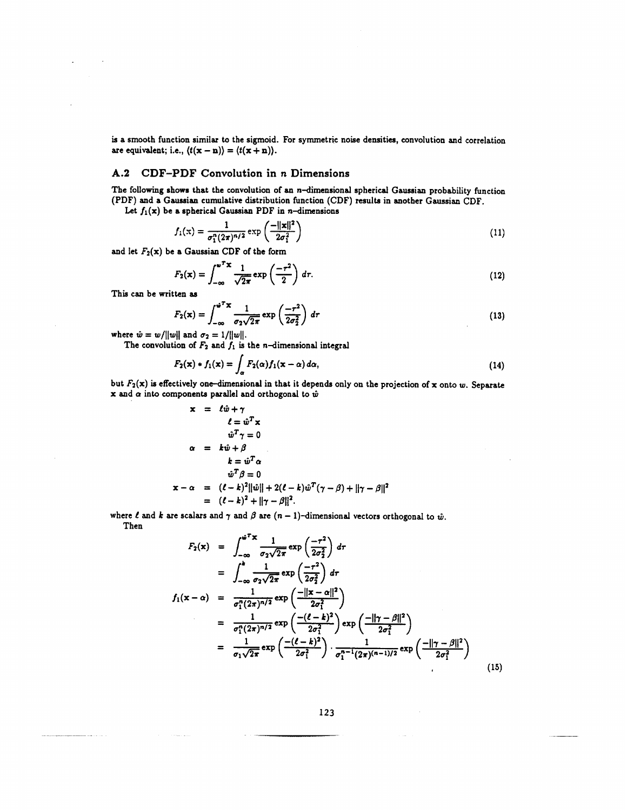is a smooth function similar to the sigmoid. For symmetric noise densities, convolution and correlation are equivalent; i.e.,  $\langle t(\mathbf{x} - \mathbf{n}) \rangle = \langle t(\mathbf{x} + \mathbf{n}) \rangle$ .

# **A.2 CDF-PDF** Convolution in **n** Dimensions

The following shows that the convolution of an  $n$ -dimensional spherical Gaussian probability function (PDF) and a Gaussian cumulative distribution function (CDF) results in another Gaussian CDF.

Let  $f_1(x)$  be a spherical Gaussian PDF in *n*-dimensions

$$
f_1(x) = \frac{1}{\sigma_1^n (2\pi)^{n/2}} \exp\left(\frac{-\|\mathbf{x}\|^2}{2\sigma_1^2}\right) \tag{11}
$$

and let  $F_2(x)$  be a Gaussian CDF of the form

$$
F_2(\mathbf{x}) = \int_{-\infty}^{\omega^T \mathbf{x}} \frac{1}{\sqrt{2\pi}} \exp\left(\frac{-\tau^2}{2}\right) d\tau.
$$
 (12)

This can be written **as** 

$$
F_2(\mathbf{x}) = \int_{-\infty}^{\omega^T \mathbf{x}} \frac{1}{\sigma_2 \sqrt{2\pi}} \exp\left(\frac{-\tau^2}{2\sigma_2^2}\right) d\tau
$$
 (13)

where  $\hat{w} = w/||w||$  and  $\sigma_2 = 1/||w||$ .

The convolution of 
$$
F_2
$$
 and  $f_1$  is the *n*-dimensional integral  

$$
F_2(\mathbf{x}) * f_1(\mathbf{x}) = \int_{\alpha} F_2(\alpha) f_1(\mathbf{x} - \alpha) d\alpha,
$$
 (14)

but  $F_2(x)$  is effectively one-dimensional in that it depends only on the projection of x onto w. Separate x and  $\alpha$  into components parallel and orthogonal to  $\hat{w}$ 

$$
\mathbf{x} = \ell \hat{w} + \gamma
$$
  
\n
$$
\ell = \hat{w}^T \mathbf{x}
$$
  
\n
$$
\hat{w}^T \gamma = 0
$$
  
\n
$$
\alpha = k \hat{w} + \beta
$$
  
\n
$$
k = \hat{w}^T \alpha
$$
  
\n
$$
\hat{w}^T \beta = 0
$$
  
\n
$$
\mathbf{x} - \alpha = (\ell - k)^2 ||\hat{w}|| + 2(\ell - k)\hat{w}^T(\gamma - \beta) + ||\gamma - \beta||^2
$$
  
\n
$$
= (\ell - k)^2 + ||\gamma - \beta||^2.
$$

Then

$$
= (\ell - k)^2 + ||\gamma - \beta||^2.
$$
  
\nwhere  $\ell$  and  $k$  are scalars and  $\gamma$  and  $\beta$  are  $(n - 1)$ -dimensional vectors orthogonal to  $\hat{w}$ .  
\nThen  
\n
$$
F_2(\mathbf{x}) = \int_{-\infty}^{\hat{w}^T X} \frac{1}{\sigma_2 \sqrt{2\pi}} \exp\left(\frac{-\tau^2}{2\sigma_2^2}\right) d\tau
$$
\n
$$
= \int_{-\infty}^k \frac{1}{\sigma_2 \sqrt{2\pi}} \exp\left(\frac{-\tau^2}{2\sigma_2^2}\right) d\tau
$$
\n
$$
f_1(\mathbf{x} - \alpha) = \frac{1}{\sigma_1^n (2\pi)^{n/2}} \exp\left(\frac{-||\mathbf{x} - \alpha||^2}{2\sigma_1^2}\right)
$$
\n
$$
= \frac{1}{\sigma_1^n (2\pi)^{n/2}} \exp\left(\frac{-(\ell - k)^2}{2\sigma_1^2}\right) \exp\left(\frac{-||\gamma - \beta||^2}{2\sigma_1^2}\right)
$$
\n
$$
= \frac{1}{\sigma_1 \sqrt{2\pi}} \exp\left(\frac{-(\ell - k)^2}{2\sigma_1^2}\right) \cdot \frac{1}{\sigma_1^{n-1} (2\pi)^{(n-1)/2}} \exp\left(\frac{-||\gamma - \beta||^2}{2\sigma_1^2}\right)
$$
\n(15)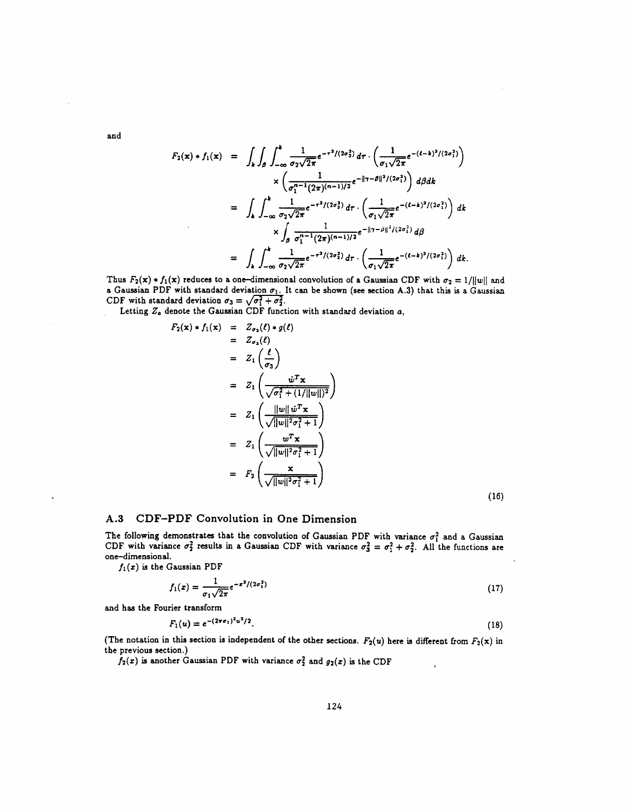and

$$
F_2(\mathbf{x}) * f_1(\mathbf{x}) = \int_k \int_{\beta}^{\mathbf{x}} \int_{-\infty}^{\mathbf{x}} \frac{1}{\sigma_2 \sqrt{2\pi}} e^{-\tau^2/(2\sigma_2^2)} d\tau \cdot \left( \frac{1}{\sigma_1 \sqrt{2\pi}} e^{-(\ell - k)^2/(2\sigma_1^2)} \right) \times \left( \frac{1}{\sigma_1^{-1}(2\pi)^{(n-1)/2}} e^{-\|\tau - \beta\|^2/(2\sigma_1^2)} \right) d\beta d\mathbf{k} = \int_k \int_{-\infty}^k \frac{1}{\sigma_2 \sqrt{2\pi}} e^{-\tau^2/(2\sigma_2^2)} d\tau \cdot \left( \frac{1}{\sigma_1 \sqrt{2\pi}} e^{-(\ell - k)^2/(2\sigma_1^2)} \right) d\mathbf{k} \times \int_{\beta} \frac{1}{\sigma_1^{n-1}(2\pi)^{(n-1)/2}} e^{-\|\tau - \beta\|^2/(2\sigma_1^2)} d\beta = \int_k \int_{-\infty}^k \frac{1}{\sigma_2 \sqrt{2\pi}} e^{-\tau^2/(2\sigma_2^2)} d\tau \cdot \left( \frac{1}{\sigma_1 \sqrt{2\pi}} e^{-(\ell - k)^2/(2\sigma_1^2)} \right) d\mathbf{k}.
$$

Thus  $F_2(\mathbf{x}) \cdot f_1(\mathbf{x})$  reduces to a one-dimensional convolution of a Gaussian CDF with  $\sigma_2 = 1/||w||$  and a Gaussian PDF with standard deviation  $\sigma_1$ . It can be shown (see section A.3) that this is a Gaussian CDF with standard deviation  $\sigma_3 = \sqrt{\sigma_1^2 + \sigma_2^2}$ .

Letting Z. denote the Gaussian CDF function with standard deviation **a,** 

$$
F_2(\mathbf{x}) * f_1(\mathbf{x}) = Z_{\sigma_2}(\ell) * g(\ell)
$$
  
\n
$$
= Z_1(\ell)
$$
  
\n
$$
= Z_1(\frac{\ell}{\sigma_3})
$$
  
\n
$$
= Z_1(\frac{\hat{w}^T \mathbf{x}}{\sqrt{\sigma_1^2 + (1/||w||)^2}})
$$
  
\n
$$
= Z_1(\frac{||w||\hat{w}^T \mathbf{x}}{\sqrt{||w||^2 \sigma_1^2 + 1}})
$$
  
\n
$$
= Z_1(\frac{w^T \mathbf{x}}{\sqrt{||w||^2 \sigma_1^2 + 1}})
$$
  
\n
$$
= F_2(\frac{\mathbf{x}}{\sqrt{||w||^2 \sigma_1^2 + 1}})
$$

 $(16)$ 

#### **A.3** CDF-PDF Convolution in One Dimension

The following demonstrates that the convolution of Gaussian PDF with variance  $\sigma_1^2$  and a Gaussian CDF with variance  $\sigma_2^2$  results in a Gaussian CDF with variance  $\sigma_3^2 = \sigma_1^2 + \sigma_2^2$ . All the functions are one-dimensional.

 $f_1(x)$  is the Gaussian PDF

$$
f_1(x) = \frac{1}{\sigma_1 \sqrt{2\pi}} e^{-x^2/(2\sigma_1^2)}
$$
\n(17)

and has the Fourier transform

$$
F_1(u) = e^{-(2\pi\sigma_1)^2 u^2/2}.
$$
\n(18)

(The notation in this section is independent of the other sections.  $F_2(u)$  here is different from  $F_2(x)$  in the previous section.)

 $f_2(x)$  is another Gaussian PDF with variance  $\sigma_2^2$  and  $g_2(x)$  is the CDF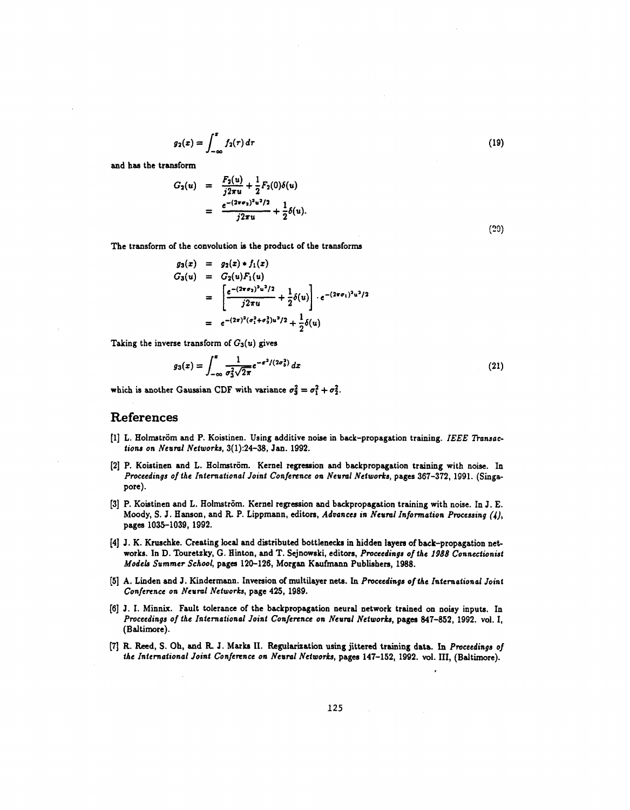$$
g_2(x)=\int_{-\infty}^x f_2(\tau)\,d\tau
$$

 $(19)$ 

 $(20)$ 

and has the transform

$$
G_2(u) = \frac{F_2(u)}{j2\pi u} + \frac{1}{2}F_2(0)\delta(u)
$$
  
= 
$$
\frac{e^{-(2\pi\sigma_2)^2u^2/2}}{j2\pi u} + \frac{1}{2}\delta(u).
$$

The transform of the convolution is the product of the transforms

$$
g_3(x) = g_2(x) * f_1(x)
$$
  
\n
$$
G_3(u) = G_2(u)F_1(u)
$$
  
\n
$$
= \left[\frac{e^{-(2\pi\sigma_2)^2u^2/2}}{j2\pi u} + \frac{1}{2}\delta(u)\right] \cdot e^{-(2\pi\sigma_1)^2u^2/2}
$$
  
\n
$$
= e^{-(2\pi)^2(\sigma_1^2 + \sigma_2^2)u^2/2} + \frac{1}{2}\delta(u)
$$

Taking the inverse transform of  $G_3(u)$  gives

$$
g_3(x) = \int_{-\infty}^x \frac{1}{\sigma_3^2 \sqrt{2\pi}} e^{-x^2/(2\sigma_3^2)} dx
$$
 (21)

which is another Gaussian CDF with variance  $\sigma_3^2 = \sigma_1^2 + \sigma_2^2$ .

#### **References**

- [1] L. Holmström and P. Koistinen. Using additive noise in back-propagation training. *IEEE Transaclions on Neural Networks,* 3(1):24-38, Jan. 1992.
- [2] P. Koistinen and L. Holmström. Kernel regression and backpropagation training with noise. In *Proceedings of the International Joint Confennce on Neural Networks,* pages 367-372, 1991. (Singapore).
- [3] P. Koistinen and L. Holmstr6m. Kernel regression and backpropagation training with noise. In J. E. Moody, S. J. Hanson, and **R** P. Lippmann, editors, *Advances in Neural Information Processing (I),*  pages 1035-1039, 1992.
- [4] J. **K.** Krwchke. Creating local and distributed bottlenecks in hidden layers of back-propagation net works. In D. Touretzky, G. Hinton, and T. Sejnowski, editors, *Proceedings of the 1988 Connectionist Models Summer School, pages 120-126, Morgan Kaufmann Publishers, 1988.*
- **(51** A. Linden and J. Kindermann. Inversion of multilayer nets. In *Proceedings of the Intemationai Joint Conference on Neural Networks,* page 425, 1989.
- [6] J. I. Minnix. Fault tolerance of the backpropagation neural network trained on noisy inputs. In *Proceedings of the International Joint Conference on Neuml Networh,* pages 847-852, 1992. vol. I, (Baltimore).
- **[7] R.** Reed, S. Oh, **and R** J. **Mark** 11. Regularization **using** jittered training data. In *Proceedings of the Iniemational Joint Conference on Neuml Networks,* pages 147-152, 1992. vol. 111, (Baltimore).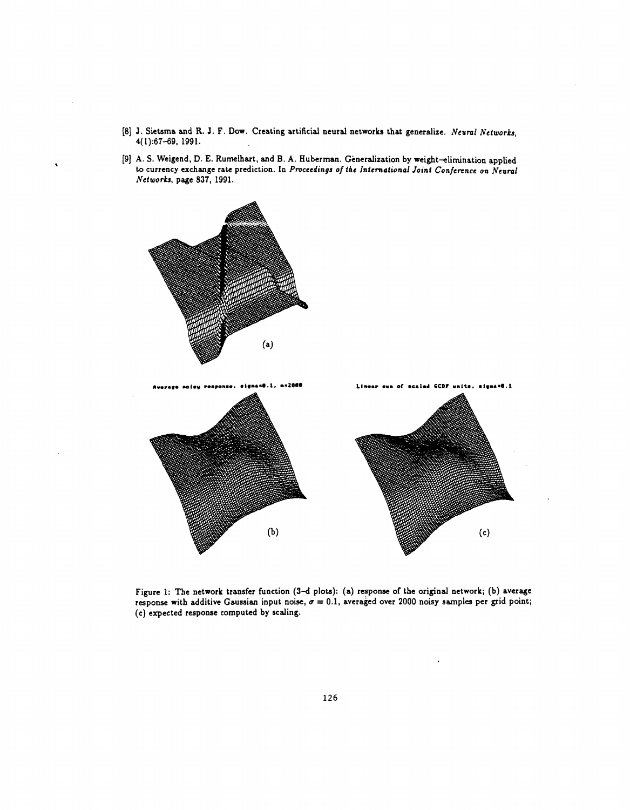- **(81** J. Sietsma and R. J. **F.** DOW. Creating artificial neural networks that generalize. *Ncurnl Networks,*  4(1):67-69, 1991.
- [9] A. S. Weigend, D. E. Rumelhart, and B. A. Huberman. Generalization by weight-elimination applied to currency exchange rate prediction. In Proceedings of the International Joint Conference on Neural *Neiworks,* page *837,* 1991.



Figure 1: The network transfer function (3-d plots): (a) response of the original network; (b) average response with additive Gaussian input noise,  $\sigma = 0.1$ , averaged over 2000 noisy samples per grid point; (c) expected response computed by scaling.